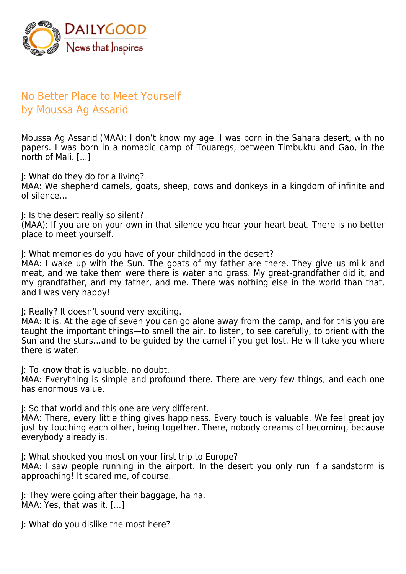

## No Better Place to Meet Yourself by Moussa Ag Assarid

Moussa Ag Assarid (MAA): I don't know my age. I was born in the Sahara desert, with no papers. I was born in a nomadic camp of Touaregs, between Timbuktu and Gao, in the north of Mali. [...]

J: What do they do for a living?

MAA: We shepherd camels, goats, sheep, cows and donkeys in a kingdom of infinite and of silence…

J: Is the desert really so silent?

(MAA): If you are on your own in that silence you hear your heart beat. There is no better place to meet yourself.

J: What memories do you have of your childhood in the desert?

MAA: I wake up with the Sun. The goats of my father are there. They give us milk and meat, and we take them were there is water and grass. My great-grandfather did it, and my grandfather, and my father, and me. There was nothing else in the world than that, and I was very happy!

J: Really? It doesn't sound very exciting.

MAA: It is. At the age of seven you can go alone away from the camp, and for this you are taught the important things—to smell the air, to listen, to see carefully, to orient with the Sun and the stars…and to be guided by the camel if you get lost. He will take you where there is water.

J: To know that is valuable, no doubt.

MAA: Everything is simple and profound there. There are very few things, and each one has enormous value.

J: So that world and this one are very different.

MAA: There, every little thing gives happiness. Every touch is valuable. We feel great joy just by touching each other, being together. There, nobody dreams of becoming, because everybody already is.

J: What shocked you most on your first trip to Europe?

MAA: I saw people running in the airport. In the desert you only run if a sandstorm is approaching! It scared me, of course.

J: They were going after their baggage, ha ha. MAA: Yes, that was it. [...]

J: What do you dislike the most here?